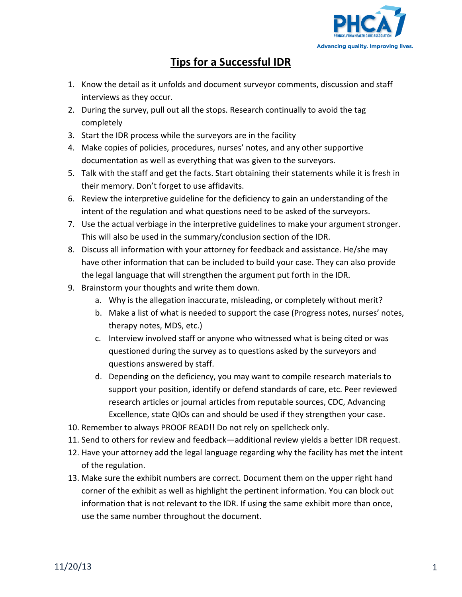

## **Tips for a Successful IDR**

- 1. Know the detail as it unfolds and document surveyor comments, discussion and staff interviews as they occur.
- 2. During the survey, pull out all the stops. Research continually to avoid the tag completely
- 3. Start the IDR process while the surveyors are in the facility
- 4. Make copies of policies, procedures, nurses' notes, and any other supportive documentation as well as everything that was given to the surveyors.
- 5. Talk with the staff and get the facts. Start obtaining their statements while it is fresh in their memory. Don't forget to use affidavits.
- 6. Review the interpretive guideline for the deficiency to gain an understanding of the intent of the regulation and what questions need to be asked of the surveyors.
- 7. Use the actual verbiage in the interpretive guidelines to make your argument stronger. This will also be used in the summary/conclusion section of the IDR.
- 8. Discuss all information with your attorney for feedback and assistance. He/she may have other information that can be included to build your case. They can also provide the legal language that will strengthen the argument put forth in the IDR.
- 9. Brainstorm your thoughts and write them down.
	- a. Why is the allegation inaccurate, misleading, or completely without merit?
	- b. Make a list of what is needed to support the case (Progress notes, nurses' notes, therapy notes, MDS, etc.)
	- c. Interview involved staff or anyone who witnessed what is being cited or was questioned during the survey as to questions asked by the surveyors and questions answered by staff.
	- d. Depending on the deficiency, you may want to compile research materials to support your position, identify or defend standards of care, etc. Peer reviewed research articles or journal articles from reputable sources, CDC, Advancing Excellence, state QIOs can and should be used if they strengthen your case.
- 10. Remember to always PROOF READ!! Do not rely on spellcheck only.
- 11. Send to others for review and feedback—additional review yields a better IDR request.
- 12. Have your attorney add the legal language regarding why the facility has met the intent of the regulation.
- 13. Make sure the exhibit numbers are correct. Document them on the upper right hand corner of the exhibit as well as highlight the pertinent information. You can block out information that is not relevant to the IDR. If using the same exhibit more than once, use the same number throughout the document.